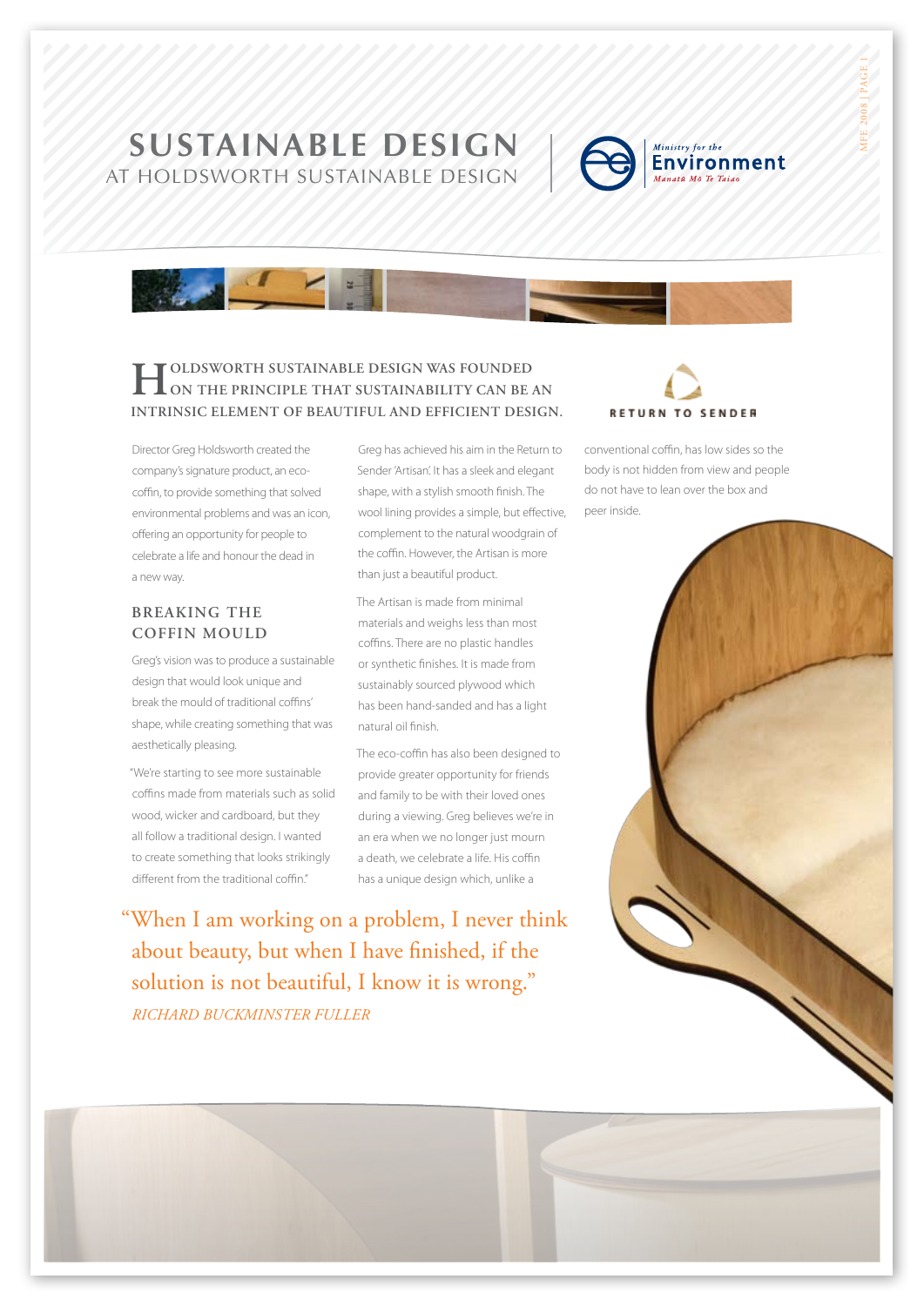## **SustainabLE DESIGN** AT holdsworth sustainable design



MFE 2008 | PAGE 1

# **Holdsworth Sustainable Design was founded on the principle that sustainability can be an intrinsic element of beautiful and efficient design.**

Director Greg Holdsworth created the company's signature product, an ecocoffin, to provide something that solved environmental problems and was an icon, offering an opportunity for people to celebrate a life and honour the dead in a new way.

#### **BREAKING THE coffin mould**

Greg's vision was to produce a sustainable design that would look unique and break the mould of traditional coffins' shape, while creating something that was aesthetically pleasing.

"We're starting to see more sustainable coffins made from materials such as solid wood, wicker and cardboard, but they all follow a traditional design. I wanted to create something that looks strikingly different from the traditional coffin."

Greg has achieved his aim in the Return to Sender 'Artisan'. It has a sleek and elegant shape, with a stylish smooth finish. The wool lining provides a simple, but effective, complement to the natural woodgrain of the coffin. However, the Artisan is more than just a beautiful product.

The Artisan is made from minimal materials and weighs less than most coffins. There are no plastic handles or synthetic finishes. It is made from sustainably sourced plywood which has been hand-sanded and has a light natural oil finish.

The eco-coffin has also been designed to provide greater opportunity for friends and family to be with their loved ones during a viewing. Greg believes we're in an era when we no longer just mourn a death, we celebrate a life. His coffin has a unique design which, unlike a

"When I am working on a problem, I never think about beauty, but when I have finished, if the solution is not beautiful, I know it is wrong." *Richard Buckminster Fuller*

# **RETURN TO SENDER**

conventional coffin, has low sides so the body is not hidden from view and people do not have to lean over the box and peer inside.

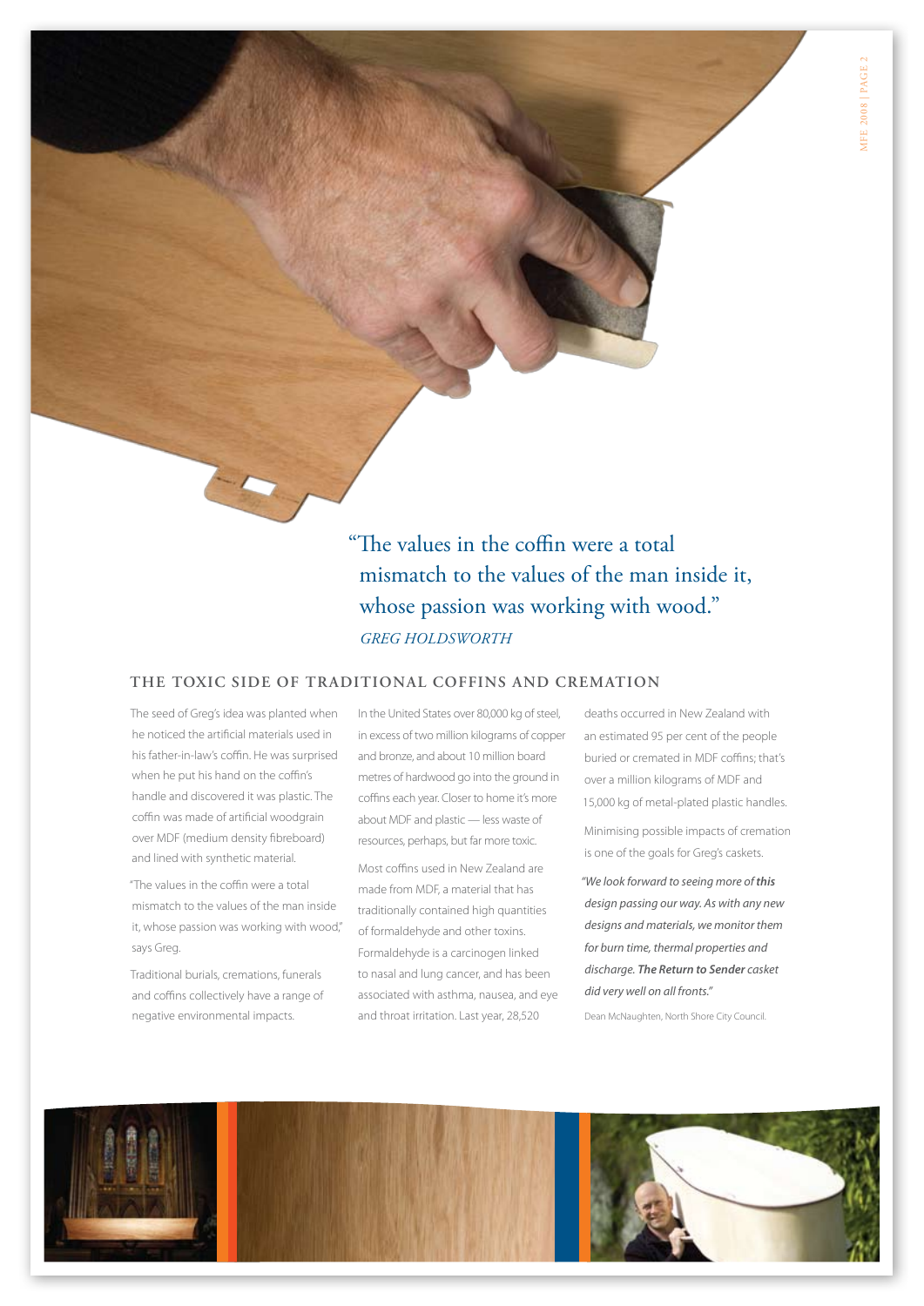"The values in the coffin were a total mismatch to the values of the man inside it, whose passion was working with wood." *Greg Holdsworth*

#### **The toxic side of traditional coffins and cremation**

The seed of Greg's idea was planted when he noticed the artificial materials used in his father-in-law's coffin. He was surprised when he put his hand on the coffin's handle and discovered it was plastic. The coffin was made of artificial woodgrain over MDF (medium density fibreboard) and lined with synthetic material.

"The values in the coffin were a total mismatch to the values of the man inside it, whose passion was working with wood," says Greg.

Traditional burials, cremations, funerals and coffins collectively have a range of negative environmental impacts.

In the United States over 80,000 kg of steel, in excess of two million kilograms of copper and bronze, and about 10 million board metres of hardwood go into the ground in coffins each year. Closer to home it's more about MDF and plastic — less waste of resources, perhaps, but far more toxic.

Most coffins used in New Zealand are made from MDF, a material that has traditionally contained high quantities of formaldehyde and other toxins. Formaldehyde is a carcinogen linked to nasal and lung cancer, and has been associated with asthma, nausea, and eye and throat irritation. Last year, 28,520

deaths occurred in New Zealand with an estimated 95 per cent of the people buried or cremated in MDF coffins; that's over a million kilograms of MDF and 15,000 kg of metal-plated plastic handles.

Minimising possible impacts of cremation is one of the goals for Greg's caskets.

*"We look forward to seeing more of this design passing our way. As with any new designs and materials, we monitor them for burn time, thermal properties and discharge. The Return to Sender casket did very well on all fronts."* 

Dean McNaughten, North Shore City Council.

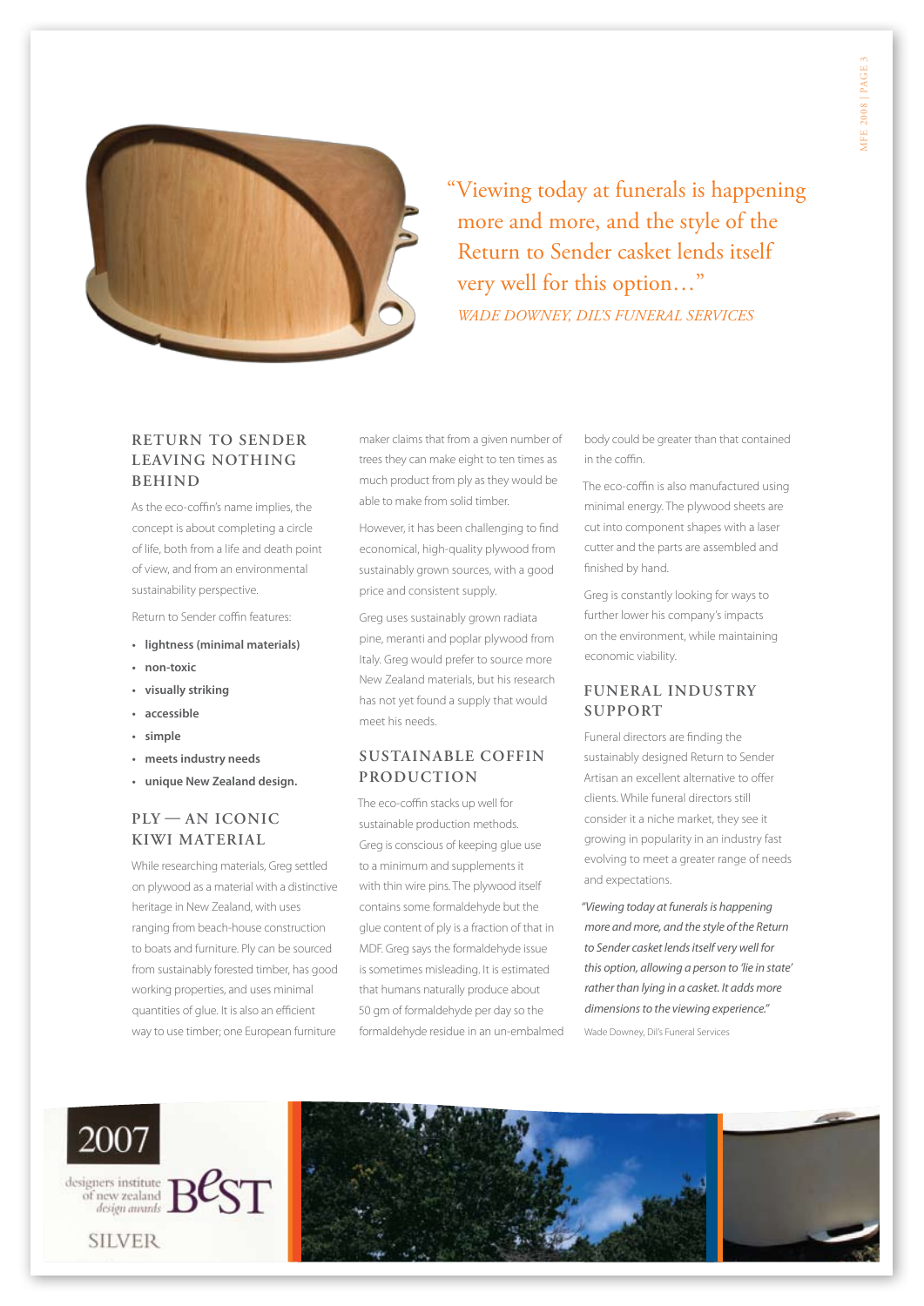

"Viewing today at funerals is happening more and more, and the style of the Return to Sender casket lends itself very well for this option…" *Wade Downey, Dil's Funeral Services*

#### **Return to Sender leaving nothing behind**

As the eco-coffin's name implies, the concept is about completing a circle of life, both from a life and death point of view, and from an environmental sustainability perspective.

Return to Sender coffin features:

- **• lightness (minimal materials)**
- **• non-toxic**
- **• visually striking**
- **• accessible**
- **• simple**
- **• meets industry needs**
- **• unique New Zealand design.**

#### **Ply — an iconic kiwi material**

While researching materials, Greg settled on plywood as a material with a distinctive heritage in New Zealand, with uses ranging from beach-house construction to boats and furniture. Ply can be sourced from sustainably forested timber, has good working properties, and uses minimal quantities of glue. It is also an efficient way to use timber; one European furniture

maker claims that from a given number of trees they can make eight to ten times as much product from ply as they would be able to make from solid timber.

However, it has been challenging to find economical, high-quality plywood from sustainably grown sources, with a good price and consistent supply.

Greg uses sustainably grown radiata pine, meranti and poplar plywood from Italy. Greg would prefer to source more New Zealand materials, but his research has not yet found a supply that would meet his needs.

#### **Sustainable coffin production**

The eco-coffin stacks up well for sustainable production methods. Greg is conscious of keeping glue use to a minimum and supplements it with thin wire pins. The plywood itself contains some formaldehyde but the glue content of ply is a fraction of that in MDF. Greg says the formaldehyde issue is sometimes misleading. It is estimated that humans naturally produce about 50 gm of formaldehyde per day so the formaldehyde residue in an un-embalmed

body could be greater than that contained in the coffin.

The eco-coffin is also manufactured using minimal energy. The plywood sheets are cut into component shapes with a laser cutter and the parts are assembled and finished by hand.

Greg is constantly looking for ways to further lower his company's impacts on the environment, while maintaining economic viability.

#### **Funeral industry support**

Funeral directors are finding the sustainably designed Return to Sender Artisan an excellent alternative to offer clients. While funeral directors still consider it a niche market, they see it growing in popularity in an industry fast evolving to meet a greater range of needs and expectations.

*"Viewing today at funerals is happening more and more, and the style of the Return to Sender casket lends itself very well for this option, allowing a person to 'lie in state' rather than lying in a casket. It adds more dimensions to the viewing experience."* Wade Downey, Dil's Funeral Services